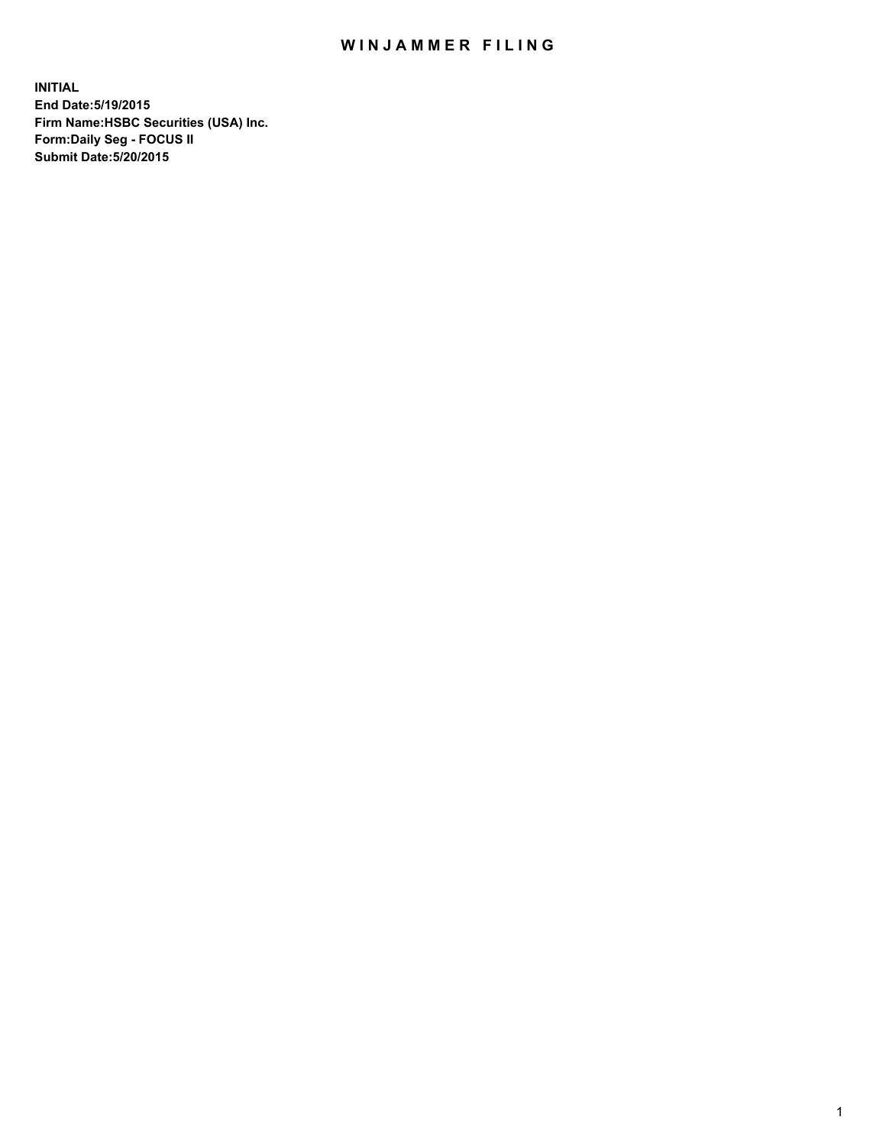## WIN JAMMER FILING

**INITIAL End Date:5/19/2015 Firm Name:HSBC Securities (USA) Inc. Form:Daily Seg - FOCUS II Submit Date:5/20/2015**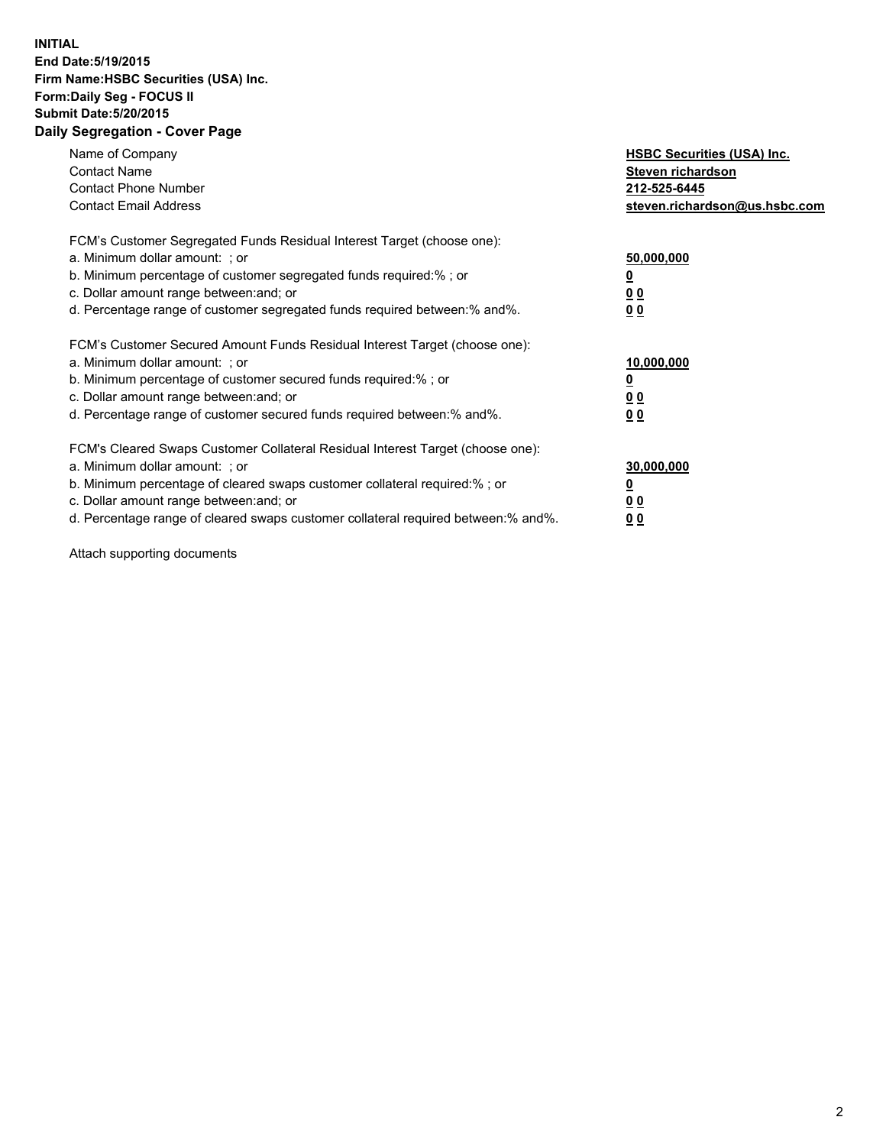## **INITIAL End Date:5/19/2015 Firm Name:HSBC Securities (USA) Inc. Form:Daily Seg - FOCUS II Submit Date:5/20/2015 Daily Segregation - Cover Page**

| Name of Company<br><b>Contact Name</b><br><b>Contact Phone Number</b><br><b>Contact Email Address</b>                                                                                                                                                                                                                         | <b>HSBC Securities (USA) Inc.</b><br>Steven richardson<br>212-525-6445<br>steven.richardson@us.hsbc.com |
|-------------------------------------------------------------------------------------------------------------------------------------------------------------------------------------------------------------------------------------------------------------------------------------------------------------------------------|---------------------------------------------------------------------------------------------------------|
| FCM's Customer Segregated Funds Residual Interest Target (choose one):<br>a. Minimum dollar amount: ; or<br>b. Minimum percentage of customer segregated funds required:% ; or<br>c. Dollar amount range between: and; or<br>d. Percentage range of customer segregated funds required between: % and %.                      | 50,000,000<br>0 <sub>0</sub><br>00                                                                      |
| FCM's Customer Secured Amount Funds Residual Interest Target (choose one):<br>a. Minimum dollar amount: ; or<br>b. Minimum percentage of customer secured funds required:%; or<br>c. Dollar amount range between: and; or<br>d. Percentage range of customer secured funds required between: % and %.                         | 10,000,000<br>00<br>00                                                                                  |
| FCM's Cleared Swaps Customer Collateral Residual Interest Target (choose one):<br>a. Minimum dollar amount: ; or<br>b. Minimum percentage of cleared swaps customer collateral required:%; or<br>c. Dollar amount range between: and; or<br>d. Percentage range of cleared swaps customer collateral required between:% and%. | 30,000,000<br>0 <sub>0</sub><br>00                                                                      |

Attach supporting documents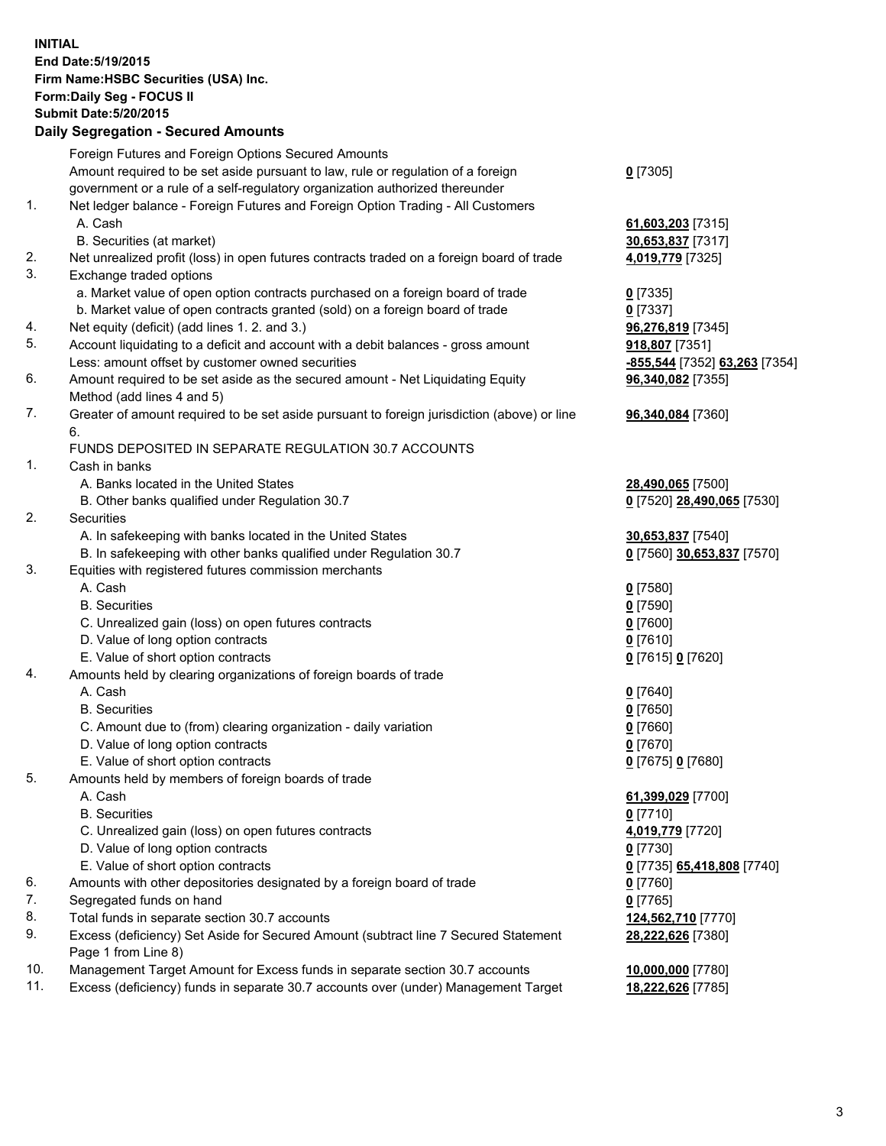**INITIAL End Date:5/19/2015 Firm Name:HSBC Securities (USA) Inc. Form:Daily Seg - FOCUS II Submit Date:5/20/2015 Daily Segregation - Secured Amounts**

Foreign Futures and Foreign Options Secured Amounts Amount required to be set aside pursuant to law, rule or regulation of a foreign government or a rule of a self-regulatory organization authorized thereunder **0** [7305] 1. Net ledger balance - Foreign Futures and Foreign Option Trading - All Customers A. Cash **61,603,203** [7315] B. Securities (at market) **30,653,837** [7317] 2. Net unrealized profit (loss) in open futures contracts traded on a foreign board of trade **4,019,779** [7325] 3. Exchange traded options a. Market value of open option contracts purchased on a foreign board of trade **0** [7335] b. Market value of open contracts granted (sold) on a foreign board of trade **0** [7337] 4. Net equity (deficit) (add lines 1. 2. and 3.) **96,276,819** [7345] 5. Account liquidating to a deficit and account with a debit balances - gross amount **918,807** [7351] Less: amount offset by customer owned securities **-855,544** [7352] **63,263** [7354] 6. Amount required to be set aside as the secured amount - Net Liquidating Equity Method (add lines 4 and 5) **96,340,082** [7355] 7. Greater of amount required to be set aside pursuant to foreign jurisdiction (above) or line 6. **96,340,084** [7360] FUNDS DEPOSITED IN SEPARATE REGULATION 30.7 ACCOUNTS 1. Cash in banks A. Banks located in the United States **28,490,065** [7500] B. Other banks qualified under Regulation 30.7 **0** [7520] **28,490,065** [7530] 2. Securities A. In safekeeping with banks located in the United States **30,653,837** [7540] B. In safekeeping with other banks qualified under Regulation 30.7 **0** [7560] **30,653,837** [7570] 3. Equities with registered futures commission merchants A. Cash **0** [7580] B. Securities **0** [7590] C. Unrealized gain (loss) on open futures contracts **0** [7600] D. Value of long option contracts **0** [7610] E. Value of short option contracts **0** [7615] **0** [7620] 4. Amounts held by clearing organizations of foreign boards of trade A. Cash **0** [7640] B. Securities **0** [7650] C. Amount due to (from) clearing organization - daily variation **0** [7660] D. Value of long option contracts **0** [7670] E. Value of short option contracts **0** [7675] **0** [7680] 5. Amounts held by members of foreign boards of trade A. Cash **61,399,029** [7700] B. Securities **0** [7710] C. Unrealized gain (loss) on open futures contracts **4,019,779** [7720] D. Value of long option contracts **0** [7730] E. Value of short option contracts **0** [7735] **65,418,808** [7740] 6. Amounts with other depositories designated by a foreign board of trade **0** [7760] 7. Segregated funds on hand **0** [7765] 8. Total funds in separate section 30.7 accounts **124,562,710** [7770] 9. Excess (deficiency) Set Aside for Secured Amount (subtract line 7 Secured Statement Page 1 from Line 8) **28,222,626** [7380] 10. Management Target Amount for Excess funds in separate section 30.7 accounts **10,000,000** [7780] 11. Excess (deficiency) funds in separate 30.7 accounts over (under) Management Target **18,222,626** [7785]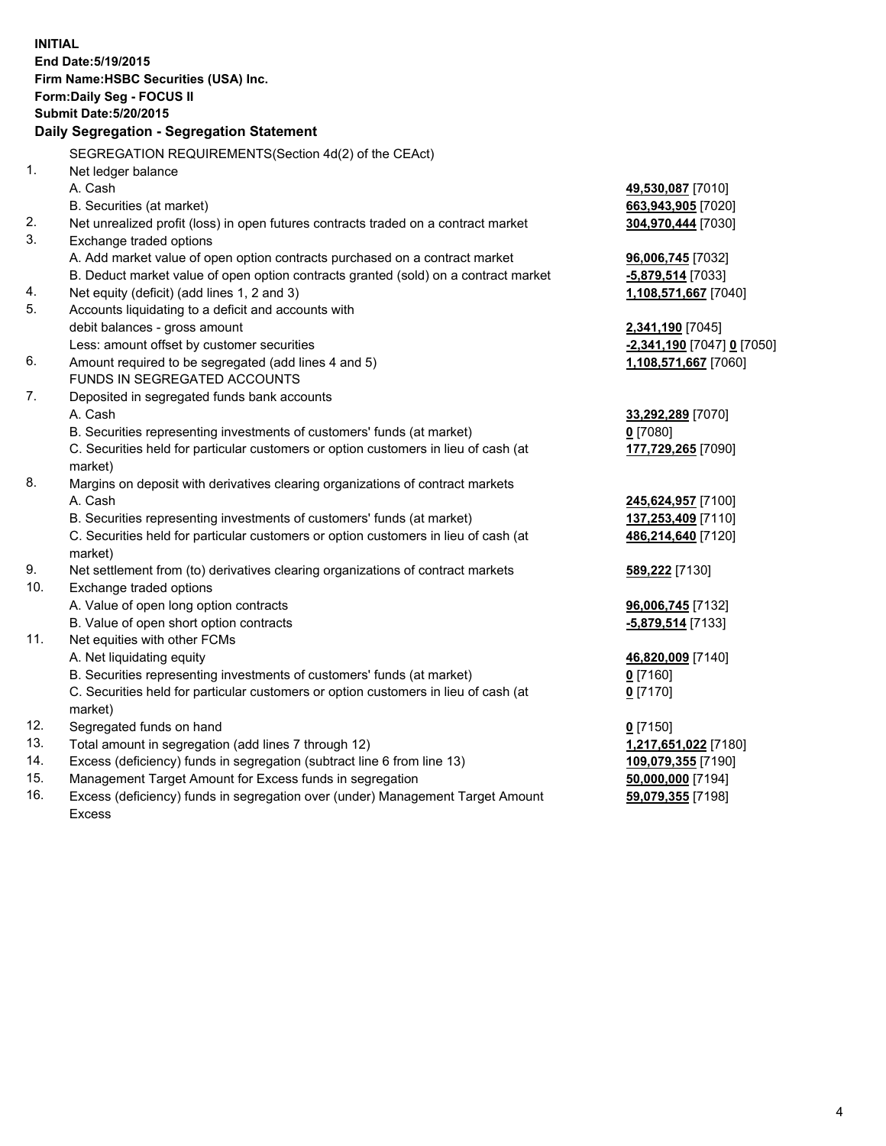|     | <b>INITIAL</b>                                                                                 |                            |
|-----|------------------------------------------------------------------------------------------------|----------------------------|
|     | End Date: 5/19/2015                                                                            |                            |
|     | Firm Name: HSBC Securities (USA) Inc.                                                          |                            |
|     | Form: Daily Seg - FOCUS II                                                                     |                            |
|     | <b>Submit Date: 5/20/2015</b>                                                                  |                            |
|     | Daily Segregation - Segregation Statement                                                      |                            |
|     | SEGREGATION REQUIREMENTS(Section 4d(2) of the CEAct)                                           |                            |
| 1.  | Net ledger balance                                                                             |                            |
|     | A. Cash                                                                                        | 49,530,087 [7010]          |
|     | B. Securities (at market)                                                                      | 663,943,905 [7020]         |
| 2.  | Net unrealized profit (loss) in open futures contracts traded on a contract market             | 304,970,444 [7030]         |
| 3.  | Exchange traded options                                                                        |                            |
|     | A. Add market value of open option contracts purchased on a contract market                    | 96,006,745 [7032]          |
|     | B. Deduct market value of open option contracts granted (sold) on a contract market            | -5,879,514 [7033]          |
| 4.  | Net equity (deficit) (add lines 1, 2 and 3)                                                    | 1,108,571,667 [7040]       |
| 5.  | Accounts liquidating to a deficit and accounts with                                            |                            |
|     | debit balances - gross amount                                                                  | 2,341,190 [7045]           |
|     | Less: amount offset by customer securities                                                     | -2,341,190 [7047] 0 [7050] |
| 6.  | Amount required to be segregated (add lines 4 and 5)                                           | 1,108,571,667 [7060]       |
|     | FUNDS IN SEGREGATED ACCOUNTS                                                                   |                            |
| 7.  | Deposited in segregated funds bank accounts                                                    |                            |
|     | A. Cash                                                                                        | 33,292,289 [7070]          |
|     | B. Securities representing investments of customers' funds (at market)                         | $0$ [7080]                 |
|     | C. Securities held for particular customers or option customers in lieu of cash (at            | 177,729,265 [7090]         |
|     | market)                                                                                        |                            |
| 8.  | Margins on deposit with derivatives clearing organizations of contract markets                 |                            |
|     | A. Cash                                                                                        | 245,624,957 [7100]         |
|     | B. Securities representing investments of customers' funds (at market)                         | 137,253,409 [7110]         |
|     | C. Securities held for particular customers or option customers in lieu of cash (at            | 486,214,640 [7120]         |
|     | market)                                                                                        |                            |
| 9.  | Net settlement from (to) derivatives clearing organizations of contract markets                | <b>589,222</b> [7130]      |
| 10. | Exchange traded options                                                                        |                            |
|     | A. Value of open long option contracts                                                         | 96,006,745 [7132]          |
|     | B. Value of open short option contracts                                                        | -5,879,514 [7133]          |
| 11. | Net equities with other FCMs                                                                   |                            |
|     | A. Net liquidating equity                                                                      | 46,820,009 [7140]          |
|     | B. Securities representing investments of customers' funds (at market)                         | <u>0</u> [7160]            |
|     | C. Securities held for particular customers or option customers in lieu of cash (at<br>market) | $0$ [7170]                 |
| 12. | Segregated funds on hand                                                                       | $0$ [7150]                 |
| 13. | Total amount in segregation (add lines 7 through 12)                                           | 1,217,651,022 [7180]       |
| 14. | Excess (deficiency) funds in segregation (subtract line 6 from line 13)                        | 109,079,355 [7190]         |
| 15. | Management Target Amount for Excess funds in segregation                                       | 50,000,000 [7194]          |
| 16. | Excess (deficiency) funds in segregation over (under) Management Target Amount                 | 59,079,355 [7198]          |

Excess